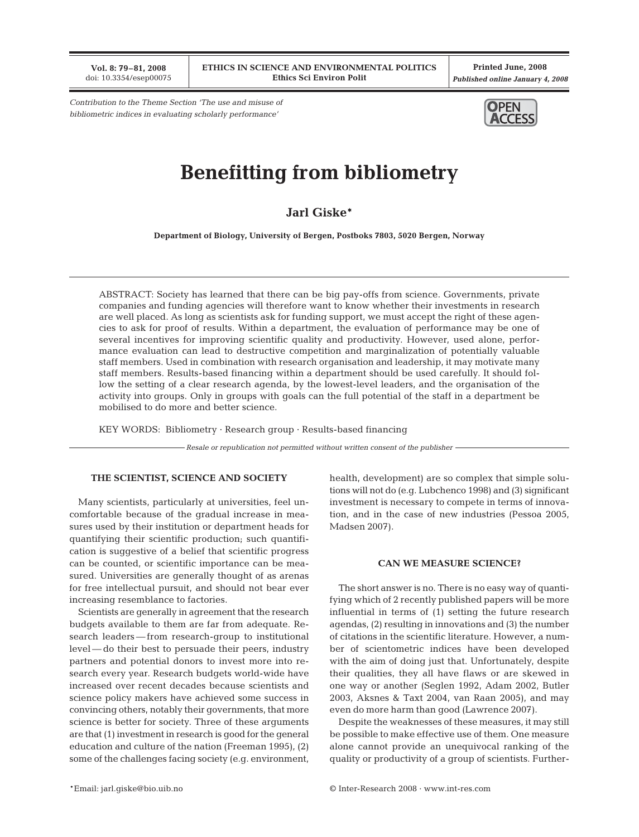**Vol. 8: 79–81, 2008** doi: 10.3354/esep00075

**Printed June, 2008** *Published online January 4, 2008*

*Contribution to the Theme Section 'The use and misuse of bibliometric indices in evaluating scholarly performance'*



# **Benefitting from bibliometry**

**Jarl Giske\***

**Department of Biology, University of Bergen, Postboks 7803, 5020 Bergen, Norway**

ABSTRACT: Society has learned that there can be big pay-offs from science. Governments, private companies and funding agencies will therefore want to know whether their investments in research are well placed. As long as scientists ask for funding support, we must accept the right of these agencies to ask for proof of results. Within a department, the evaluation of performance may be one of several incentives for improving scientific quality and productivity. However, used alone, performance evaluation can lead to destructive competition and marginalization of potentially valuable staff members. Used in combination with research organisation and leadership, it may motivate many staff members. Results-based financing within a department should be used carefully. It should follow the setting of a clear research agenda, by the lowest-level leaders, and the organisation of the activity into groups. Only in groups with goals can the full potential of the staff in a department be mobilised to do more and better science.

KEY WORDS: Bibliometry · Research group · Results-based financing

*Resale or republication not permitted without written consent of the publisher*

### **THE SCIENTIST, SCIENCE AND SOCIETY**

Many scientists, particularly at universities, feel uncomfortable because of the gradual increase in measures used by their institution or department heads for quantifying their scientific production; such quantification is suggestive of a belief that scientific progress can be counted, or scientific importance can be measured. Universities are generally thought of as arenas for free intellectual pursuit, and should not bear ever increasing resemblance to factories.

Scientists are generally in agreement that the research budgets available to them are far from adequate. Research leaders — from research-group to institutional level — do their best to persuade their peers, industry partners and potential donors to invest more into research every year. Research budgets world-wide have increased over recent decades because scientists and science policy makers have achieved some success in convincing others, notably their governments, that more science is better for society. Three of these arguments are that (1) investment in research is good for the general education and culture of the nation (Freeman 1995), (2) some of the challenges facing society (e.g. environment,

health, development) are so complex that simple solutions will not do (e.g. Lubchenco 1998) and (3) significant investment is necessary to compete in terms of innovation, and in the case of new industries (Pessoa 2005, Madsen 2007).

### **CAN WE MEASURE SCIENCE?**

The short answer is no. There is no easy way of quantifying which of 2 recently published papers will be more influential in terms of (1) setting the future research agendas, (2) resulting in innovations and (3) the number of citations in the scientific literature. However, a number of scientometric indices have been developed with the aim of doing just that. Unfortunately, despite their qualities, they all have flaws or are skewed in one way or another (Seglen 1992, Adam 2002, Butler 2003, Aksnes & Taxt 2004, van Raan 2005), and may even do more harm than good (Lawrence 2007).

Despite the weaknesses of these measures, it may still be possible to make effective use of them. One measure alone cannot provide an unequivocal ranking of the quality or productivity of a group of scientists. Further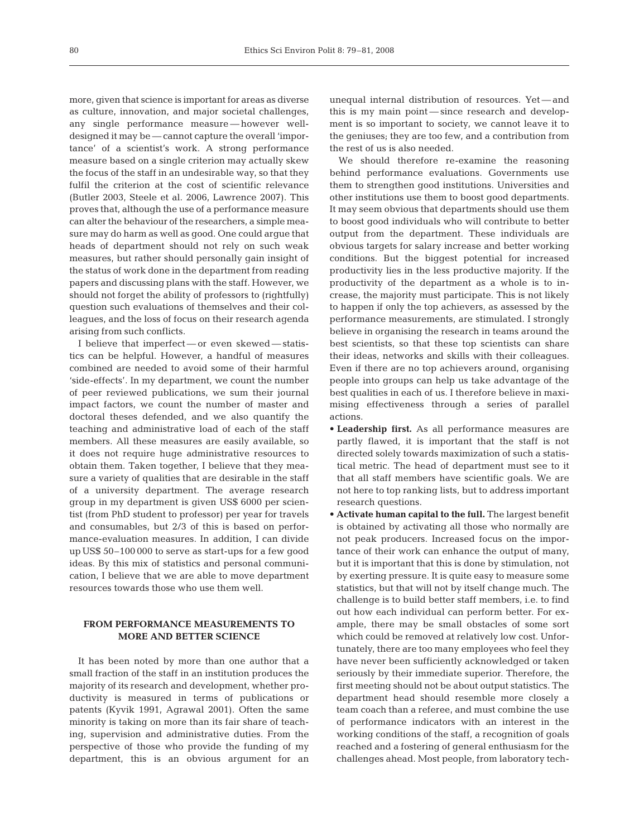more, given that science is important for areas as diverse as culture, innovation, and major societal challenges, any single performance measure — however welldesigned it may be — cannot capture the overall 'importance' of a scientist's work. A strong performance measure based on a single criterion may actually skew the focus of the staff in an undesirable way, so that they fulfil the criterion at the cost of scientific relevance (Butler 2003, Steele et al. 2006, Lawrence 2007). This proves that, although the use of a performance measure can alter the behaviour of the researchers, a simple measure may do harm as well as good. One could argue that heads of department should not rely on such weak measures, but rather should personally gain insight of the status of work done in the department from reading papers and discussing plans with the staff. However, we should not forget the ability of professors to (rightfully) question such evaluations of themselves and their colleagues, and the loss of focus on their research agenda arising from such conflicts.

I believe that imperfect — or even skewed — statistics can be helpful. However, a handful of measures combined are needed to avoid some of their harmful 'side-effects'. In my department, we count the number of peer reviewed publications, we sum their journal impact factors, we count the number of master and doctoral theses defended, and we also quantify the teaching and administrative load of each of the staff members. All these measures are easily available, so it does not require huge administrative resources to obtain them. Taken together, I believe that they measure a variety of qualities that are desirable in the staff of a university department. The average research group in my department is given US\$ 6000 per scientist (from PhD student to professor) per year for travels and consumables, but 2/3 of this is based on performance-evaluation measures. In addition, I can divide up US\$ 50–100 000 to serve as start-ups for a few good ideas. By this mix of statistics and personal communication, I believe that we are able to move department resources towards those who use them well.

## **FROM PERFORMANCE MEASUREMENTS TO MORE AND BETTER SCIENCE**

It has been noted by more than one author that a small fraction of the staff in an institution produces the majority of its research and development, whether productivity is measured in terms of publications or patents (Kyvik 1991, Agrawal 2001). Often the same minority is taking on more than its fair share of teaching, supervision and administrative duties. From the perspective of those who provide the funding of my department, this is an obvious argument for an

unequal internal distribution of resources. Yet — and this is my main point — since research and development is so important to society, we cannot leave it to the geniuses; they are too few, and a contribution from the rest of us is also needed.

We should therefore re-examine the reasoning behind performance evaluations. Governments use them to strengthen good institutions. Universities and other institutions use them to boost good departments. It may seem obvious that departments should use them to boost good individuals who will contribute to better output from the department. These individuals are obvious targets for salary increase and better working conditions. But the biggest potential for increased productivity lies in the less productive majority. If the productivity of the department as a whole is to increase, the majority must participate. This is not likely to happen if only the top achievers, as assessed by the performance measurements, are stimulated. I strongly believe in organising the research in teams around the best scientists, so that these top scientists can share their ideas, networks and skills with their colleagues. Even if there are no top achievers around, organising people into groups can help us take advantage of the best qualities in each of us. I therefore believe in maximising effectiveness through a series of parallel actions.

- **Leadership first.** As all performance measures are partly flawed, it is important that the staff is not directed solely towards maximization of such a statistical metric. The head of department must see to it that all staff members have scientific goals. We are not here to top ranking lists, but to address important research questions.
- **Activate human capital to the full.** The largest benefit is obtained by activating all those who normally are not peak producers. Increased focus on the importance of their work can enhance the output of many, but it is important that this is done by stimulation, not by exerting pressure. It is quite easy to measure some statistics, but that will not by itself change much. The challenge is to build better staff members, i.e. to find out how each individual can perform better. For example, there may be small obstacles of some sort which could be removed at relatively low cost. Unfortunately, there are too many employees who feel they have never been sufficiently acknowledged or taken seriously by their immediate superior. Therefore, the first meeting should not be about output statistics. The department head should resemble more closely a team coach than a referee, and must combine the use of performance indicators with an interest in the working conditions of the staff, a recognition of goals reached and a fostering of general enthusiasm for the challenges ahead. Most people, from laboratory tech-